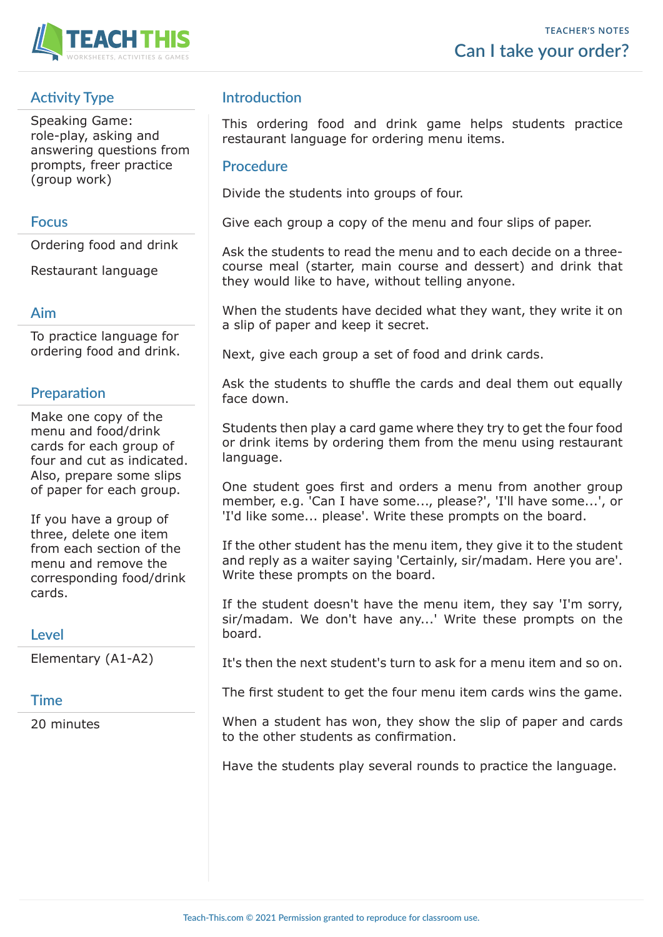

## **Activity Type**

Speaking Game: role-play, asking and answering questions from prompts, freer practice (group work)

#### **Focus**

Ordering food and drink

Restaurant language

#### **Aim**

To practice language for ordering food and drink.

## **Preparation**

Make one copy of the menu and food/drink cards for each group of four and cut as indicated. Also, prepare some slips of paper for each group.

If you have a group of three, delete one item from each section of the menu and remove the corresponding food/drink cards.

### **Level**

Elementary (A1-A2)

#### **Time**

20 minutes

### **Introduction**

This ordering food and drink game helps students practice restaurant language for ordering menu items.

#### **Procedure**

Divide the students into groups of four.

Give each group a copy of the menu and four slips of paper.

Ask the students to read the menu and to each decide on a threecourse meal (starter, main course and dessert) and drink that they would like to have, without telling anyone.

When the students have decided what they want, they write it on a slip of paper and keep it secret.

Next, give each group a set of food and drink cards.

Ask the students to shuffle the cards and deal them out equally face down.

Students then play a card game where they try to get the four food or drink items by ordering them from the menu using restaurant language.

One student goes first and orders a menu from another group member, e.g. 'Can I have some..., please?', 'I'll have some...', or 'I'd like some... please'. Write these prompts on the board.

If the other student has the menu item, they give it to the student and reply as a waiter saying 'Certainly, sir/madam. Here you are'. Write these prompts on the board.

If the student doesn't have the menu item, they say 'I'm sorry, sir/madam. We don't have any...' Write these prompts on the board.

It's then the next student's turn to ask for a menu item and so on.

The first student to get the four menu item cards wins the game.

When a student has won, they show the slip of paper and cards to the other students as confirmation.

Have the students play several rounds to practice the language.